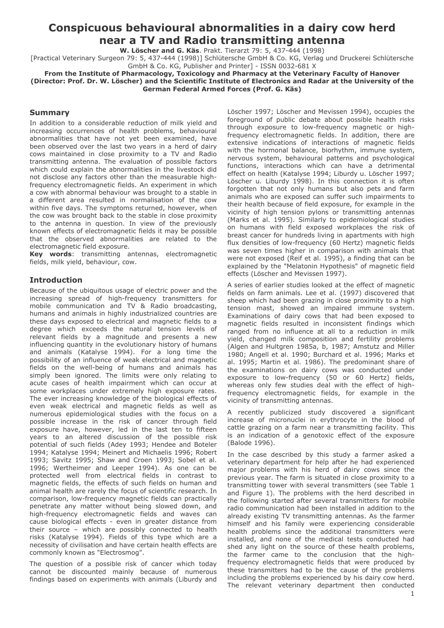# Conspicuous behavioural abnormalities in a dairy cow herd near a TV and Radio transmitting antenna

W. Löscher and G. Käs. Prakt. Tierarzt 79: 5, 437-444 (1998)

[Practical Veterinary Surgeon 79: 5, 437-444 (1998)] Schlütersche GmbH & Co. KG, Verlag und Druckerei Schlütersche GmbH & Co. KG, Publisher and Printer] - ISSN 0032-681 X

From the Institute of Pharmacology, Toxicology and Pharmacy at the Veterinary Faculty of Hanover (Director: Prof. Dr. W. Löscher) and the Scientific Institute of Electronics and Radar at the University of the German Federal Armed Forces (Prof. G. Käs)

#### **Summary**

In addition to a considerable reduction of milk yield and increasing occurrences of health problems, behavioural abnormalities that have not yet been examined, have been observed over the last two years in a herd of dairy cows maintained in close proximity to a TV and Radio transmitting antenna. The evaluation of possible factors which could explain the abnormalities in the livestock did not disclose any factors other than the measurable highfrequency electromagnetic fields. An experiment in which a cow with abnormal behaviour was brought to a stable in a different area resulted in normalisation of the cow within five days. The symptoms returned, however, when the cow was brought back to the stable in close proximity to the antenna in question. In view of the previously known effects of electromagnetic fields it may be possible that the observed abnormalities are related to the electromagnetic field exposure.

Key words: transmitting antennas, electromagnetic fields, milk yield, behaviour, cow.

# **Introduction**

Because of the ubiguitous usage of electric power and the increasing spread of high-frequency transmitters for mobile communication and TV & Radio broadcasting, humans and animals in highly industrialized countries are these days exposed to electrical and magnetic fields to a degree which exceeds the natural tension levels of relevant fields by a magnitude and presents a new influencing quantity in the evolutionary history of humans and animals (Katalyse 1994). For a long time the possibility of an influence of weak electrical and magnetic fields on the well-being of humans and animals has simply been janored. The limits were only relating to acute cases of health impairment which can occur at some workplaces under extremely high exposure rates. The ever increasing knowledge of the biological effects of even weak electrical and magnetic fields as well as numerous epidemiological studies with the focus on a possible increase in the risk of cancer through field exposure have, however, led in the last ten to fifteen years to an altered discussion of the possible risk potential of such fields (Adey 1993; Hendee and Boteler 1994; Katalyse 1994; Meinert and Michaelis 1996; Robert 1993; Savitz 1995; Shaw and Croen 1993; Sobel et al. 1996; Wertheimer and Leeper 1994). As one can be protected well from electrical fields in contrast to magnetic fields, the effects of such fields on human and animal health are rarely the focus of scientific research. In comparison, low-frequency magnetic fields can practically penetrate any matter without being slowed down, and high-frequency electromagnetic fields and waves can cause biological effects - even in greater distance from their source - which are possibly connected to health risks (Katalyse 1994). Fields of this type which are a necessity of civilisation and have certain health effects are commonly known as "Electrosmog".

The question of a possible risk of cancer which today cannot be discounted mainly because of numerous findings based on experiments with animals (Liburdy and

Löscher 1997: Löscher and Mevissen 1994), occupies the foreground of public debate about possible health risks through exposure to low-frequency magnetic or highfrequency electromagnetic fields. In addition, there are extensive indications of interactions of magnetic fields with the hormonal balance, biorhythm, immune system, nervous system, behavioural patterns and psychological functions, interactions which can have a detrimental effect on health (Katalyse 1994; Liburdy u. Löscher 1997; Löscher u. Liburdy 1998). In this connection it is often forgotten that not only humans but also pets and farm animals who are exposed can suffer such impairments to their health because of field exposure, for example in the vicinity of high tension pylons or transmitting antennas (Marks et al. 1995). Similarly to epidemiological studies on humans with field exposed workplaces the risk of breast cancer for hundreds living in apartments with high flux densities of low-frequency (60 Hertz) magnetic fields was seven times higher in comparison with animals that were not exposed (Reif et al. 1995), a finding that can be explained by the "Melatonin Hypothesis" of magnetic field effects (Löscher and Mevissen 1997).

A series of earlier studies looked at the effect of magnetic fields on farm animals. Lee et al. (1997) discovered that sheep which had been grazing in close proximity to a high tension mast, showed an impaired immune system. Examinations of dairy cows that had been exposed to magnetic fields resulted in inconsistent findings which ranged from no influence at all to a reduction in milk yield, changed milk composition and fertility problems (Algen and Hultgren 1985a, b, 1987; Amstutz and Miller 1980; Angell et al. 1990; Burchard et al. 1996; Marks et al. 1995; Martin et al. 1986). The predominant share of the examinations on dairy cows was conducted under exposure to low-frequency (50 or 60 Hertz) fields, whereas only few studies deal with the effect of highfrequency electromagnetic fields, for example in the vicinity of transmitting antennas.

A recently publicized study discovered a significant increase of micronuclei in erythrocyte in the blood of cattle grazing on a farm near a transmitting facility. This is an indication of a genotoxic effect of the exposure (Balode 1996).

In the case described by this study a farmer asked a veterinary department for help after he had experienced major problems with his herd of dairy cows since the previous year. The farm is situated in close proximity to a transmitting tower with several transmitters (see Table 1 and Figure 1). The problems with the herd described in the following started after several transmitters for mobile radio communication had been installed in addition to the already existing TV transmitting antennas. As the farmer himself and his family were experiencing considerable health problems since the additional transmitters were installed, and none of the medical tests conducted had shed any light on the source of these health problems, the farmer came to the conclusion that the highfrequency electromagnetic fields that were produced by these transmitters had to be the cause of the problems including the problems experienced by his dairy cow herd. The relevant veterinary department then conducted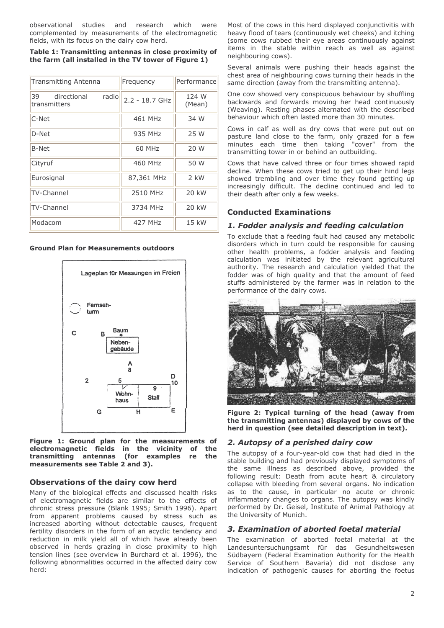observational studies and research which Were complemented by measurements of the electromagnetic fields, with its focus on the dairy cow herd.

Table 1: Transmitting antennas in close proximity of the farm (all installed in the TV tower of Figure 1)

| <b>Transmitting Antenna</b>                | Frequency        | Performance     |
|--------------------------------------------|------------------|-----------------|
| radio<br>39<br>directional<br>transmitters | $2.2 - 18.7$ GHz | 124 W<br>(Mean) |
| C-Net                                      | 461 MHz          | 34 W            |
| D-Net                                      | 935 MHz          | 25 W            |
| <b>B-Net</b>                               | 60 MHz           | 20 W            |
| Cityruf                                    | 460 MHz          | 50 W            |
| Eurosignal                                 | 87,361 MHz       | $2$ kW          |
| TV-Channel                                 | 2510 MHz         | 20 kW           |
| <b>TV-Channel</b>                          | 3734 MHz         | 20 kW           |
| Modacom                                    | 427 MHz          | 15 kW           |

**Ground Plan for Measurements outdoors** 



Figure 1: Ground plan for the measurements of electromagnetic fields in the vicinity of the transmitting antennas (for examples re the measurements see Table 2 and 3).

#### **Observations of the dairy cow herd**

Many of the biological effects and discussed health risks of electromagnetic fields are similar to the effects of chronic stress pressure (Blank 1995; Smith 1996). Apart from apparent problems caused by stress such as increased aborting without detectable causes, frequent fertility disorders in the form of an acyclic tendency and reduction in milk yield all of which have already been observed in herds grazing in close proximity to high tension lines (see overview in Burchard et al. 1996), the following abnormalities occurred in the affected dairy cow herd:

Most of the cows in this herd displayed conjunctivitis with heavy flood of tears (continuously wet cheeks) and itching (some cows rubbed their eye areas continuously against items in the stable within reach as well as against neighbouring cows).

Several animals were pushing their heads against the chest area of neighbouring cows turning their heads in the same direction (away from the transmitting antenna).

One cow showed very conspicuous behaviour by shuffling backwards and forwards moving her head continuously (Weaving). Resting phases alternated with the described behaviour which often lasted more than 30 minutes.

Cows in calf as well as dry cows that were put out on pasture land close to the farm, only grazed for a few minutes each time then taking "cover" from the transmitting tower in or behind an outbuilding.

Cows that have calved three or four times showed rapid decline. When these cows tried to get up their hind legs showed trembling and over time they found getting up increasingly difficult. The decline continued and led to their death after only a few weeks.

# **Conducted Examinations**

# 1. Fodder analysis and feeding calculation

To exclude that a feeding fault had caused any metabolic disorders which in turn could be responsible for causing other health problems, a fodder analysis and feeding calculation was initiated by the relevant agricultural authority. The research and calculation yielded that the fodder was of high quality and that the amount of feed stuffs administered by the farmer was in relation to the performance of the dairy cows.



Figure 2: Typical turning of the head (away from the transmitting antennas) displayed by cows of the herd in question (see detailed description in text).

# 2. Autopsy of a perished dairy cow

The autopsy of a four-year-old cow that had died in the stable building and had previously displayed symptoms of the same illness as described above, provided the following result: Death from acute heart & circulatory collapse with bleeding from several organs. No indication as to the cause, in particular no acute or chronic inflammatory changes to organs. The autopsy was kindly performed by Dr. Geisel, Institute of Animal Pathology at the University of Munich.

# 3. Examination of aborted foetal material

The examination of aborted foetal material at the Landesuntersuchungsamt für das Gesundheitswesen Südbayern (Federal Examination Authority for the Health Service of Southern Bavaria) did not disclose any indication of pathogenic causes for aborting the foetus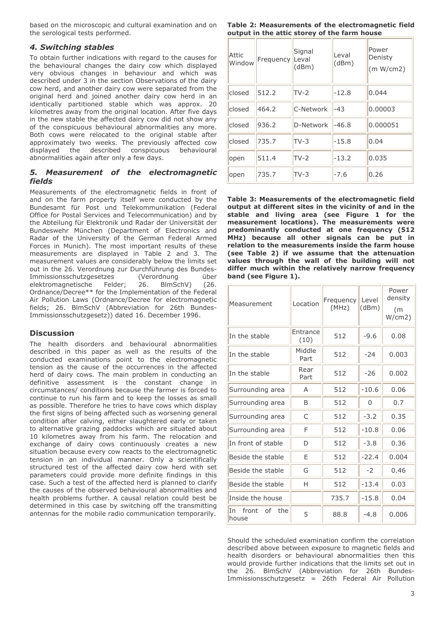based on the microscopic and cultural examination and on the serological tests performed.

#### 4. Switching stables

To obtain further indications with regard to the causes for the behavioural changes the dairy cow which displayed very obvious changes in behaviour and which was described under 3 in the section Observations of the dairy cow herd, and another dairy cow were separated from the original herd and joined another dairy cow herd in an identically partitioned stable which was approx, 20 kilometres away from the original location. After five days in the new stable the affected dairy cow did not show any of the conspicuous behavioural abnormalities any more. Both cows were relocated to the original stable after approximately two weeks. The previously affected cow displayed the described conspicuous behavioural abnormalities again after only a few days.

#### 5. Measurement of the electromagnetic **fields**

Measurements of the electromagnetic fields in front of and on the farm property itself were conducted by the Bundesamt für Post und Telekommunikation (Federal Office for Postal Services and Telecommunication) and by the Abteilung für Elektronik und Radar der Universität der Bundeswehr München (Department of Electronics and Radar of the University of the German Federal Armed Forces in Munich). The most important results of these measurements are displayed in Table 2 and 3. The measurement values are considerably below the limits set out in the 26. Verordnung zur Durchführung des Bundes-Immissionsschutzgesetzes (Verordnung über elektromagnetische Felder; 26. BlmSchV)  $(26)$ Ordnance/Decree\*\* for the Implementation of the Federal Air Pollution Laws (Ordnance/Decree for electromagnetic fields; 26. BlmSchV (Abbreviation for 26th Bundes-Immissionsschutzgesetz)) dated 16. December 1996.

#### **Discussion**

The health disorders and behavioural abnormalities described in this paper as well as the results of the conducted examinations point to the electromagnetic tension as the cause of the occurrences in the affected herd of dairy cows. The main problem in conducting an definitive assessment is the constant change in circumstances/ conditions because the farmer is forced to continue to run his farm and to keep the losses as small as possible. Therefore he tries to have cows which display the first signs of being affected such as worsening general condition after calving, either slaughtered early or taken to alternative grazing paddocks which are situated about 10 kilometres away from his farm. The relocation and exchange of dairy cows continuously creates a new situation because every cow reacts to the electromagnetic tension in an individual manner. Only a scientifically structured test of the affected dairy cow herd with set parameters could provide more definite findings in this case. Such a test of the affected herd is planned to clarify the causes of the observed behavioural abnormalities and health problems further. A causal relation could best be determined in this case by switching off the transmitting antennas for the mobile radio communication temporarily.

Table 2: Measurements of the electromagnetic field output in the attic storey of the farm house

| Attic<br>Window | Frequency | Signal<br>Leval<br>(dBm) | Leval<br>(dBm) | Power<br>Denisty<br>(m W/cm2) |
|-----------------|-----------|--------------------------|----------------|-------------------------------|
| closed          | 512.2     | $TV-2$                   | $-12.8$        | 0.044                         |
| closed          | 464.2     | C-Network                | $-43$          | 0.00003                       |
| closed          | 936.2     | D-Network                | $-46.8$        | 0.000051                      |
| closed          | 735.7     | $TV-3$                   | $-15.8$        | 0.04                          |
| open            | 511.4     | $TV-2$                   | $-13.2$        | 0.035                         |
| open            | 735.7     | $TV-3$                   | $-7.6$         | 0.26                          |

Table 3: Measurements of the electromagnetic field output at different sites in the vicinity of and in the stable and living area (see Figure 1 for the measurement locations). The measurements were predominantly conducted at one frequency (512 MHz) because all other signals can be put in relation to the measurements inside the farm house (see Table 2) if we assume that the attenuation values through the wall of the building will not differ much within the relatively narrow frequency band (see Figure 1).

| Measurement                 | Location         | Frequency<br>(MHz) | Level<br>(dBm) | Power<br>density<br>(m)<br>W/cm2) |
|-----------------------------|------------------|--------------------|----------------|-----------------------------------|
| In the stable               | Entrance<br>(10) | 512                | $-9.6$         | 0.08                              |
| In the stable               | Middle<br>Part   | 512                | $-24$          | 0.003                             |
| In the stable               | Rear<br>Part     | 512                | $-26$          | 0.002                             |
| Surrounding area            | A                | 512                | $-10.6$        | 0.06                              |
| Surrounding area            | B                | 512                | $\Omega$       | 0.7                               |
| Surrounding area            | C                | 512                | $-3.2$         | 0.35                              |
| Surrounding area            | F                | 512                | $-10.8$        | 0.06                              |
| In front of stable          | D                | 512                | $-3.8$         | 0.36                              |
| Beside the stable           | F                | 512                | $-22.4$        | 0.004                             |
| Beside the stable           | G                | 512                | $-2$           | 0.46                              |
| Beside the stable           | н                | 512                | $-13.4$        | 0.03                              |
| Inside the house            |                  | 735.7              | $-15.8$        | 0.04                              |
| In front<br>of the<br>house | 5                | 88.8               | $-4.8$         | 0.006                             |

Should the scheduled examination confirm the correlation described above between exposure to magnetic fields and health disorders or behavioural abnormalities then this would provide further indications that the limits set out in the 26. BlmSchV (Abbreviation for 26th Bundes-Immissionsschutzgesetz = 26th Federal Air Pollution